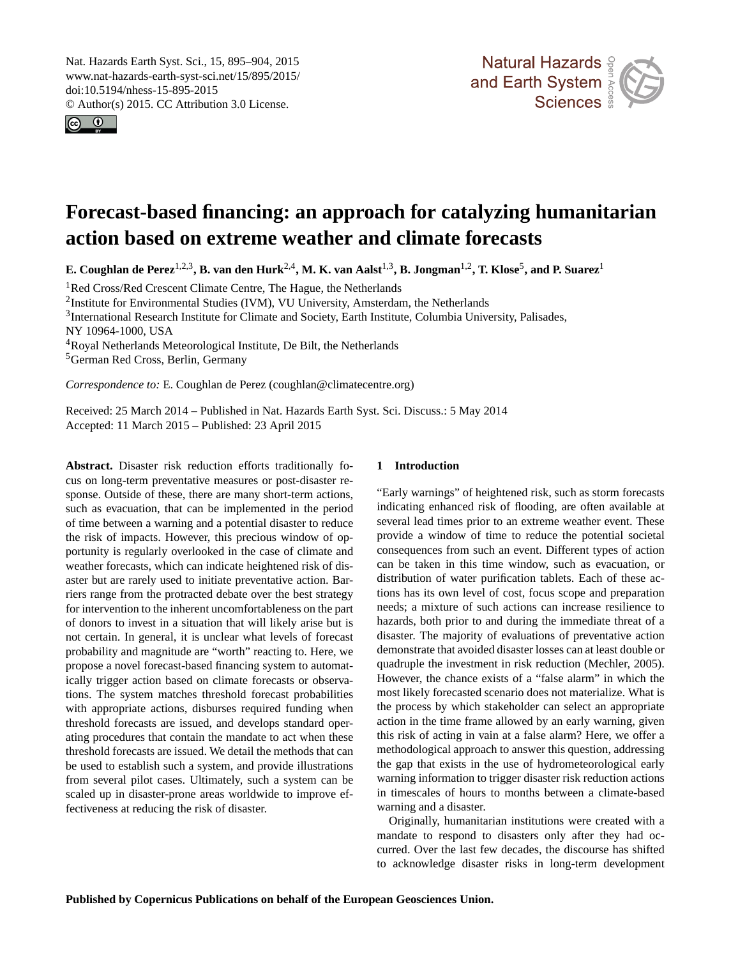<span id="page-0-1"></span>Nat. Hazards Earth Syst. Sci., 15, 895–904, 2015 www.nat-hazards-earth-syst-sci.net/15/895/2015/ doi:10.5194/nhess-15-895-2015 © Author(s) 2015. CC Attribution 3.0 License.





# **Forecast-based financing: an approach for catalyzing humanitarian action based on extreme weather and climate forecasts**

 $E$ . Coughlan de Perez<sup>[1,2,3](#page-0-0)</sup>, B. van den Hurk<sup>[2,4](#page-0-0)</sup>, M. K. van Aalst<sup>[1,3](#page-0-0)</sup>, B. Jongman<sup>[1,2](#page-0-0)</sup>, T. Klose<sup>[5](#page-0-0)</sup>, and P. Suarez<sup>[1](#page-0-0)</sup>

<sup>1</sup>Red Cross/Red Crescent Climate Centre, The Hague, the Netherlands

<sup>2</sup>Institute for Environmental Studies (IVM), VU University, Amsterdam, the Netherlands

<sup>3</sup>International Research Institute for Climate and Society, Earth Institute, Columbia University, Palisades, NY 10964-1000, USA

<sup>4</sup>Royal Netherlands Meteorological Institute, De Bilt, the Netherlands

<sup>5</sup>German Red Cross, Berlin, Germany

*Correspondence to:* E. Coughlan de Perez (coughlan@climatecentre.org)

Received: 25 March 2014 – Published in Nat. Hazards Earth Syst. Sci. Discuss.: 5 May 2014 Accepted: 11 March 2015 – Published: 23 April 2015

<span id="page-0-0"></span>**Abstract.** Disaster risk reduction efforts traditionally focus on long-term preventative measures or post-disaster response. Outside of these, there are many short-term actions, such as evacuation, that can be implemented in the period of time between a warning and a potential disaster to reduce the risk of impacts. However, this precious window of opportunity is regularly overlooked in the case of climate and weather forecasts, which can indicate heightened risk of disaster but are rarely used to initiate preventative action. Barriers range from the protracted debate over the best strategy for intervention to the inherent uncomfortableness on the part of donors to invest in a situation that will likely arise but is not certain. In general, it is unclear what levels of forecast probability and magnitude are "worth" reacting to. Here, we propose a novel forecast-based financing system to automatically trigger action based on climate forecasts or observations. The system matches threshold forecast probabilities with appropriate actions, disburses required funding when threshold forecasts are issued, and develops standard operating procedures that contain the mandate to act when these threshold forecasts are issued. We detail the methods that can be used to establish such a system, and provide illustrations from several pilot cases. Ultimately, such a system can be scaled up in disaster-prone areas worldwide to improve effectiveness at reducing the risk of disaster.

## **1 Introduction**

"Early warnings" of heightened risk, such as storm forecasts indicating enhanced risk of flooding, are often available at several lead times prior to an extreme weather event. These provide a window of time to reduce the potential societal consequences from such an event. Different types of action can be taken in this time window, such as evacuation, or distribution of water purification tablets. Each of these actions has its own level of cost, focus scope and preparation needs; a mixture of such actions can increase resilience to hazards, both prior to and during the immediate threat of a disaster. The majority of evaluations of preventative action demonstrate that avoided disaster losses can at least double or quadruple the investment in risk reduction (Mechler, 2005). However, the chance exists of a "false alarm" in which the most likely forecasted scenario does not materialize. What is the process by which stakeholder can select an appropriate action in the time frame allowed by an early warning, given this risk of acting in vain at a false alarm? Here, we offer a methodological approach to answer this question, addressing the gap that exists in the use of hydrometeorological early warning information to trigger disaster risk reduction actions in timescales of hours to months between a climate-based warning and a disaster.

Originally, humanitarian institutions were created with a mandate to respond to disasters only after they had occurred. Over the last few decades, the discourse has shifted to acknowledge disaster risks in long-term development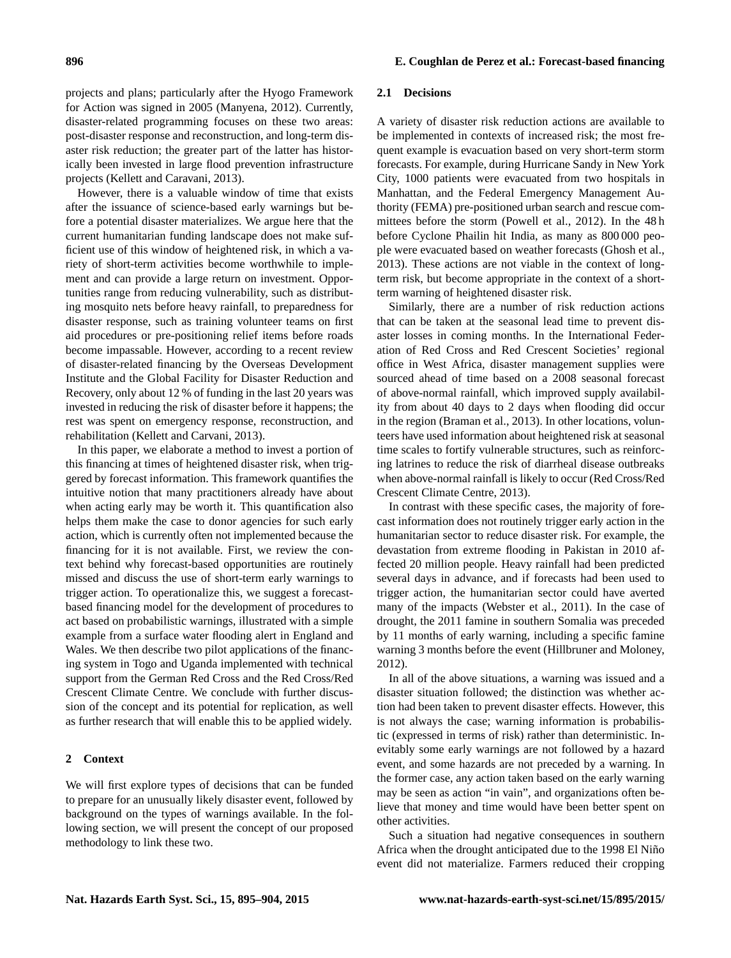projects and plans; particularly after the Hyogo Framework for Action was signed in 2005 (Manyena, 2012). Currently, disaster-related programming focuses on these two areas: post-disaster response and reconstruction, and long-term disaster risk reduction; the greater part of the latter has historically been invested in large flood prevention infrastructure projects (Kellett and Caravani, 2013).

However, there is a valuable window of time that exists after the issuance of science-based early warnings but before a potential disaster materializes. We argue here that the current humanitarian funding landscape does not make sufficient use of this window of heightened risk, in which a variety of short-term activities become worthwhile to implement and can provide a large return on investment. Opportunities range from reducing vulnerability, such as distributing mosquito nets before heavy rainfall, to preparedness for disaster response, such as training volunteer teams on first aid procedures or pre-positioning relief items before roads become impassable. However, according to a recent review of disaster-related financing by the Overseas Development Institute and the Global Facility for Disaster Reduction and Recovery, only about 12 % of funding in the last 20 years was invested in reducing the risk of disaster before it happens; the rest was spent on emergency response, reconstruction, and rehabilitation (Kellett and Carvani, 2013).

In this paper, we elaborate a method to invest a portion of this financing at times of heightened disaster risk, when triggered by forecast information. This framework quantifies the intuitive notion that many practitioners already have about when acting early may be worth it. This quantification also helps them make the case to donor agencies for such early action, which is currently often not implemented because the financing for it is not available. First, we review the context behind why forecast-based opportunities are routinely missed and discuss the use of short-term early warnings to trigger action. To operationalize this, we suggest a forecastbased financing model for the development of procedures to act based on probabilistic warnings, illustrated with a simple example from a surface water flooding alert in England and Wales. We then describe two pilot applications of the financing system in Togo and Uganda implemented with technical support from the German Red Cross and the Red Cross/Red Crescent Climate Centre. We conclude with further discussion of the concept and its potential for replication, as well as further research that will enable this to be applied widely.

## **2 Context**

We will first explore types of decisions that can be funded to prepare for an unusually likely disaster event, followed by background on the types of warnings available. In the following section, we will present the concept of our proposed methodology to link these two.

#### **2.1 Decisions**

A variety of disaster risk reduction actions are available to be implemented in contexts of increased risk; the most frequent example is evacuation based on very short-term storm forecasts. For example, during Hurricane Sandy in New York City, 1000 patients were evacuated from two hospitals in Manhattan, and the Federal Emergency Management Authority (FEMA) pre-positioned urban search and rescue committees before the storm (Powell et al., 2012). In the 48 h before Cyclone Phailin hit India, as many as 800 000 people were evacuated based on weather forecasts (Ghosh et al., 2013). These actions are not viable in the context of longterm risk, but become appropriate in the context of a shortterm warning of heightened disaster risk.

Similarly, there are a number of risk reduction actions that can be taken at the seasonal lead time to prevent disaster losses in coming months. In the International Federation of Red Cross and Red Crescent Societies' regional office in West Africa, disaster management supplies were sourced ahead of time based on a 2008 seasonal forecast of above-normal rainfall, which improved supply availability from about 40 days to 2 days when flooding did occur in the region (Braman et al., 2013). In other locations, volunteers have used information about heightened risk at seasonal time scales to fortify vulnerable structures, such as reinforcing latrines to reduce the risk of diarrheal disease outbreaks when above-normal rainfall is likely to occur (Red Cross/Red Crescent Climate Centre, 2013).

In contrast with these specific cases, the majority of forecast information does not routinely trigger early action in the humanitarian sector to reduce disaster risk. For example, the devastation from extreme flooding in Pakistan in 2010 affected 20 million people. Heavy rainfall had been predicted several days in advance, and if forecasts had been used to trigger action, the humanitarian sector could have averted many of the impacts (Webster et al., 2011). In the case of drought, the 2011 famine in southern Somalia was preceded by 11 months of early warning, including a specific famine warning 3 months before the event (Hillbruner and Moloney, 2012).

In all of the above situations, a warning was issued and a disaster situation followed; the distinction was whether action had been taken to prevent disaster effects. However, this is not always the case; warning information is probabilistic (expressed in terms of risk) rather than deterministic. Inevitably some early warnings are not followed by a hazard event, and some hazards are not preceded by a warning. In the former case, any action taken based on the early warning may be seen as action "in vain", and organizations often believe that money and time would have been better spent on other activities.

Such a situation had negative consequences in southern Africa when the drought anticipated due to the 1998 El Niño event did not materialize. Farmers reduced their cropping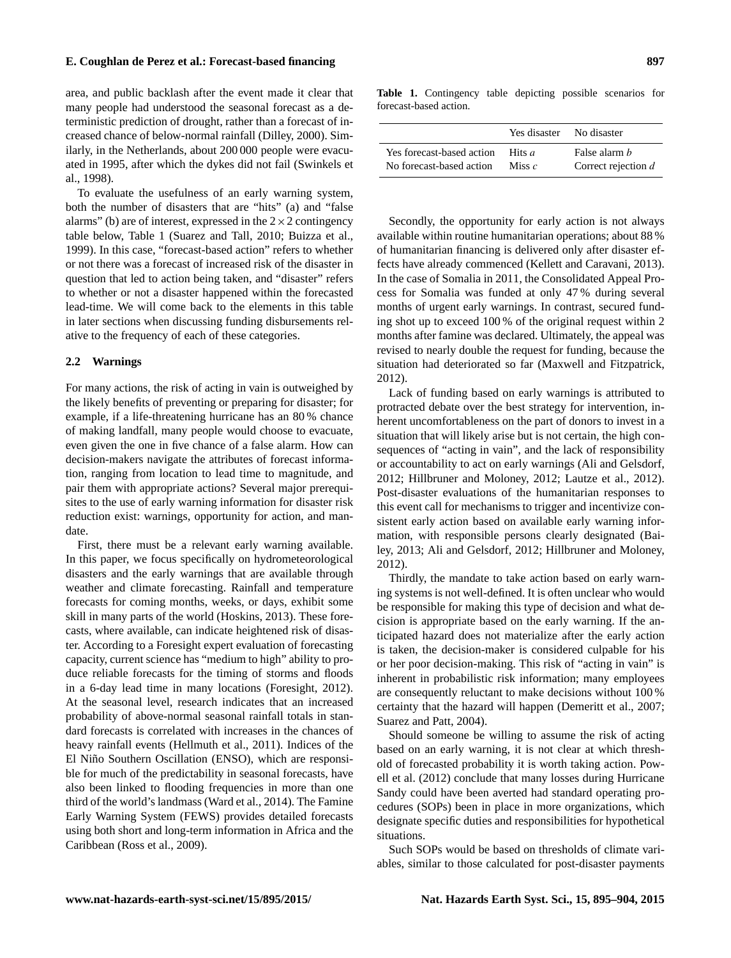area, and public backlash after the event made it clear that many people had understood the seasonal forecast as a deterministic prediction of drought, rather than a forecast of increased chance of below-normal rainfall (Dilley, 2000). Similarly, in the Netherlands, about 200 000 people were evacuated in 1995, after which the dykes did not fail (Swinkels et al., 1998).

To evaluate the usefulness of an early warning system, both the number of disasters that are "hits" (a) and "false alarms" (b) are of interest, expressed in the  $2 \times 2$  contingency table below, Table 1 (Suarez and Tall, 2010; Buizza et al., 1999). In this case, "forecast-based action" refers to whether or not there was a forecast of increased risk of the disaster in question that led to action being taken, and "disaster" refers to whether or not a disaster happened within the forecasted lead-time. We will come back to the elements in this table in later sections when discussing funding disbursements relative to the frequency of each of these categories.

#### **2.2 Warnings**

For many actions, the risk of acting in vain is outweighed by the likely benefits of preventing or preparing for disaster; for example, if a life-threatening hurricane has an 80 % chance of making landfall, many people would choose to evacuate, even given the one in five chance of a false alarm. How can decision-makers navigate the attributes of forecast information, ranging from location to lead time to magnitude, and pair them with appropriate actions? Several major prerequisites to the use of early warning information for disaster risk reduction exist: warnings, opportunity for action, and mandate.

First, there must be a relevant early warning available. In this paper, we focus specifically on hydrometeorological disasters and the early warnings that are available through weather and climate forecasting. Rainfall and temperature forecasts for coming months, weeks, or days, exhibit some skill in many parts of the world (Hoskins, 2013). These forecasts, where available, can indicate heightened risk of disaster. According to a Foresight expert evaluation of forecasting capacity, current science has "medium to high" ability to produce reliable forecasts for the timing of storms and floods in a 6-day lead time in many locations (Foresight, 2012). At the seasonal level, research indicates that an increased probability of above-normal seasonal rainfall totals in standard forecasts is correlated with increases in the chances of heavy rainfall events (Hellmuth et al., 2011). Indices of the El Niño Southern Oscillation (ENSO), which are responsible for much of the predictability in seasonal forecasts, have also been linked to flooding frequencies in more than one third of the world's landmass (Ward et al., 2014). The Famine Early Warning System (FEWS) provides detailed forecasts using both short and long-term information in Africa and the Caribbean (Ross et al., 2009).

**Table 1.** Contingency table depicting possible scenarios for forecast-based action.

|                           | Yes disaster | No disaster           |
|---------------------------|--------------|-----------------------|
| Yes forecast-based action | Hits $a$     | False alarm <i>b</i>  |
| No forecast-based action  | Miss $c$     | Correct rejection $d$ |

Secondly, the opportunity for early action is not always available within routine humanitarian operations; about 88 % of humanitarian financing is delivered only after disaster effects have already commenced (Kellett and Caravani, 2013). In the case of Somalia in 2011, the Consolidated Appeal Process for Somalia was funded at only 47 % during several months of urgent early warnings. In contrast, secured funding shot up to exceed 100 % of the original request within 2 months after famine was declared. Ultimately, the appeal was revised to nearly double the request for funding, because the situation had deteriorated so far (Maxwell and Fitzpatrick, 2012).

Lack of funding based on early warnings is attributed to protracted debate over the best strategy for intervention, inherent uncomfortableness on the part of donors to invest in a situation that will likely arise but is not certain, the high consequences of "acting in vain", and the lack of responsibility or accountability to act on early warnings (Ali and Gelsdorf, 2012; Hillbruner and Moloney, 2012; Lautze et al., 2012). Post-disaster evaluations of the humanitarian responses to this event call for mechanisms to trigger and incentivize consistent early action based on available early warning information, with responsible persons clearly designated (Bailey, 2013; Ali and Gelsdorf, 2012; Hillbruner and Moloney, 2012).

Thirdly, the mandate to take action based on early warning systems is not well-defined. It is often unclear who would be responsible for making this type of decision and what decision is appropriate based on the early warning. If the anticipated hazard does not materialize after the early action is taken, the decision-maker is considered culpable for his or her poor decision-making. This risk of "acting in vain" is inherent in probabilistic risk information; many employees are consequently reluctant to make decisions without 100 % certainty that the hazard will happen (Demeritt et al., 2007; Suarez and Patt, 2004).

Should someone be willing to assume the risk of acting based on an early warning, it is not clear at which threshold of forecasted probability it is worth taking action. Powell et al. (2012) conclude that many losses during Hurricane Sandy could have been averted had standard operating procedures (SOPs) been in place in more organizations, which designate specific duties and responsibilities for hypothetical situations.

Such SOPs would be based on thresholds of climate variables, similar to those calculated for post-disaster payments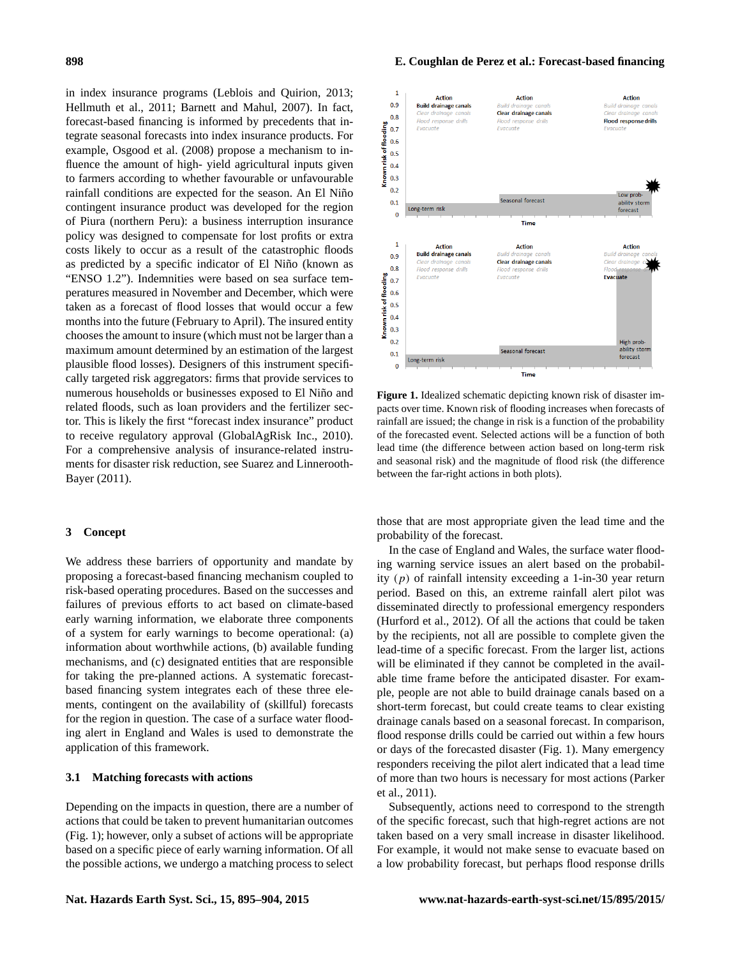in index insurance programs (Leblois and Quirion, 2013; Hellmuth et al., 2011; Barnett and Mahul, 2007). In fact, forecast-based financing is informed by precedents that integrate seasonal forecasts into index insurance products. For example, Osgood et al. (2008) propose a mechanism to influence the amount of high- yield agricultural inputs given to farmers according to whether favourable or unfavourable rainfall conditions are expected for the season. An El Niño contingent insurance product was developed for the region of Piura (northern Peru): a business interruption insurance policy was designed to compensate for lost profits or extra costs likely to occur as a result of the catastrophic floods as predicted by a specific indicator of El Niño (known as "ENSO 1.2"). Indemnities were based on sea surface temperatures measured in November and December, which were taken as a forecast of flood losses that would occur a few months into the future (February to April). The insured entity chooses the amount to insure (which must not be larger than a maximum amount determined by an estimation of the largest plausible flood losses). Designers of this instrument specifically targeted risk aggregators: firms that provide services to numerous households or businesses exposed to El Niño and related floods, such as loan providers and the fertilizer sector. This is likely the first "forecast index insurance" product to receive regulatory approval (GlobalAgRisk Inc., 2010). For a comprehensive analysis of insurance-related instruments for disaster risk reduction, see Suarez and Linnerooth-Bayer (2011).

## **3 Concept**

We address these barriers of opportunity and mandate by proposing a forecast-based financing mechanism coupled to risk-based operating procedures. Based on the successes and failures of previous efforts to act based on climate-based early warning information, we elaborate three components of a system for early warnings to become operational: (a) information about worthwhile actions, (b) available funding mechanisms, and (c) designated entities that are responsible for taking the pre-planned actions. A systematic forecastbased financing system integrates each of these three elements, contingent on the availability of (skillful) forecasts for the region in question. The case of a surface water flooding alert in England and Wales is used to demonstrate the application of this framework.

#### **3.1 Matching forecasts with actions**

Depending on the impacts in question, there are a number of actions that could be taken to prevent humanitarian outcomes (Fig. 1); however, only a subset of actions will be appropriate based on a specific piece of early warning information. Of all the possible actions, we undergo a matching process to select

## **898 E. Coughlan de Perez et al.: Forecast-based financing**



**Figure 1.** Idealized schematic depicting known risk of disaster impacts over time. Known risk of flooding increases when forecasts of rainfall are issued; the change in risk is a function of the probability of the forecasted event. Selected actions will be a function of both lead time (the difference between action based on long-term risk and seasonal risk) and the magnitude of flood risk (the difference between the far-right actions in both plots).

those that are most appropriate given the lead time and the probability of the forecast.

In the case of England and Wales, the surface water flooding warning service issues an alert based on the probability  $(p)$  of rainfall intensity exceeding a 1-in-30 year return period. Based on this, an extreme rainfall alert pilot was disseminated directly to professional emergency responders (Hurford et al., 2012). Of all the actions that could be taken by the recipients, not all are possible to complete given the lead-time of a specific forecast. From the larger list, actions will be eliminated if they cannot be completed in the available time frame before the anticipated disaster. For example, people are not able to build drainage canals based on a short-term forecast, but could create teams to clear existing drainage canals based on a seasonal forecast. In comparison, flood response drills could be carried out within a few hours or days of the forecasted disaster (Fig. 1). Many emergency responders receiving the pilot alert indicated that a lead time of more than two hours is necessary for most actions (Parker et al., 2011).

Subsequently, actions need to correspond to the strength of the specific forecast, such that high-regret actions are not taken based on a very small increase in disaster likelihood. For example, it would not make sense to evacuate based on a low probability forecast, but perhaps flood response drills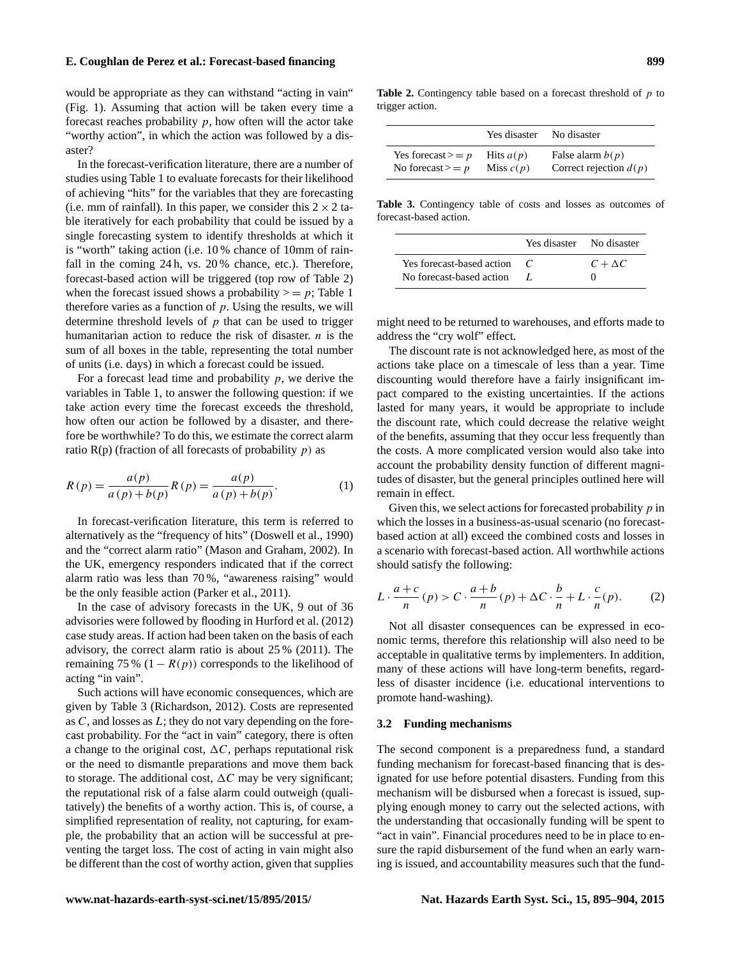would be appropriate as they can withstand "acting in vain" (Fig. 1). Assuming that action will be taken every time a forecast reaches probability  $p$ , how often will the actor take "worthy action", in which the action was followed by a disaster?

In the forecast-verification literature, there are a number of studies using Table 1 to evaluate forecasts for their likelihood of achieving "hits" for the variables that they are forecasting (i.e. mm of rainfall). In this paper, we consider this  $2 \times 2$  table iteratively for each probability that could be issued by a single forecasting system to identify thresholds at which it is "worth" taking action (i.e. 10 % chance of 10mm of rainfall in the coming 24 h, vs. 20 % chance, etc.). Therefore, forecast-based action will be triggered (top row of Table 2) when the forecast issued shows a probability  $> = p$ ; Table 1 therefore varies as a function of  $p$ . Using the results, we will determine threshold levels of  $p$  that can be used to trigger humanitarian action to reduce the risk of disaster.  $n$  is the sum of all boxes in the table, representing the total number of units (i.e. days) in which a forecast could be issued.

For a forecast lead time and probability  $p$ , we derive the variables in Table 1, to answer the following question: if we take action every time the forecast exceeds the threshold, how often our action be followed by a disaster, and therefore be worthwhile? To do this, we estimate the correct alarm ratio  $R(p)$  (fraction of all forecasts of probability  $p$ ) as

$$
R(p) = \frac{a(p)}{a(p) + b(p)} R(p) = \frac{a(p)}{a(p) + b(p)}.
$$
 (1)

In forecast-verification literature, this term is referred to alternatively as the "frequency of hits" (Doswell et al., 1990) and the "correct alarm ratio" (Mason and Graham, 2002). In the UK, emergency responders indicated that if the correct alarm ratio was less than 70 %, "awareness raising" would be the only feasible action (Parker et al., 2011).

In the case of advisory forecasts in the UK, 9 out of 36 advisories were followed by flooding in Hurford et al. (2012) case study areas. If action had been taken on the basis of each advisory, the correct alarm ratio is about 25 % (2011). The remaining 75 %  $(1 - R(p))$  corresponds to the likelihood of acting "in vain".

Such actions will have economic consequences, which are given by Table 3 (Richardson, 2012). Costs are represented as  $C$ , and losses as  $L$ ; they do not vary depending on the forecast probability. For the "act in vain" category, there is often a change to the original cost,  $\Delta C$ , perhaps reputational risk or the need to dismantle preparations and move them back to storage. The additional cost,  $\Delta C$  may be very significant; the reputational risk of a false alarm could outweigh (qualitatively) the benefits of a worthy action. This is, of course, a simplified representation of reality, not capturing, for example, the probability that an action will be successful at preventing the target loss. The cost of acting in vain might also be different than the cost of worthy action, given that supplies

**Table 2.** Contingency table based on a forecast threshold of  $p$  to trigger action.

|                      | Yes disaster | No disaster              |
|----------------------|--------------|--------------------------|
| Yes forecast $> = p$ | Hits $a(p)$  | False alarm $b(p)$       |
| No forecast $> = p$  | Miss $c(p)$  | Correct rejection $d(p)$ |

**Table 3.** Contingency table of costs and losses as outcomes of forecast-based action.

|                           | Yes disaster No disaster |                |
|---------------------------|--------------------------|----------------|
| Yes forecast-based action | $\mathbb{C}$             | $C + \Delta C$ |
| No forecast-based action  |                          |                |

might need to be returned to warehouses, and efforts made to address the "cry wolf" effect.

The discount rate is not acknowledged here, as most of the actions take place on a timescale of less than a year. Time discounting would therefore have a fairly insignificant impact compared to the existing uncertainties. If the actions lasted for many years, it would be appropriate to include the discount rate, which could decrease the relative weight of the benefits, assuming that they occur less frequently than the costs. A more complicated version would also take into account the probability density function of different magnitudes of disaster, but the general principles outlined here will remain in effect.

Given this, we select actions for forecasted probability  $p$  in which the losses in a business-as-usual scenario (no forecastbased action at all) exceed the combined costs and losses in a scenario with forecast-based action. All worthwhile actions should satisfy the following:

$$
L \cdot \frac{a+c}{n}(p) > C \cdot \frac{a+b}{n}(p) + \Delta C \cdot \frac{b}{n} + L \cdot \frac{c}{n}(p). \tag{2}
$$

Not all disaster consequences can be expressed in economic terms, therefore this relationship will also need to be acceptable in qualitative terms by implementers. In addition, many of these actions will have long-term benefits, regardless of disaster incidence (i.e. educational interventions to promote hand-washing).

### **3.2 Funding mechanisms**

The second component is a preparedness fund, a standard funding mechanism for forecast-based financing that is designated for use before potential disasters. Funding from this mechanism will be disbursed when a forecast is issued, supplying enough money to carry out the selected actions, with the understanding that occasionally funding will be spent to "act in vain". Financial procedures need to be in place to ensure the rapid disbursement of the fund when an early warning is issued, and accountability measures such that the fund-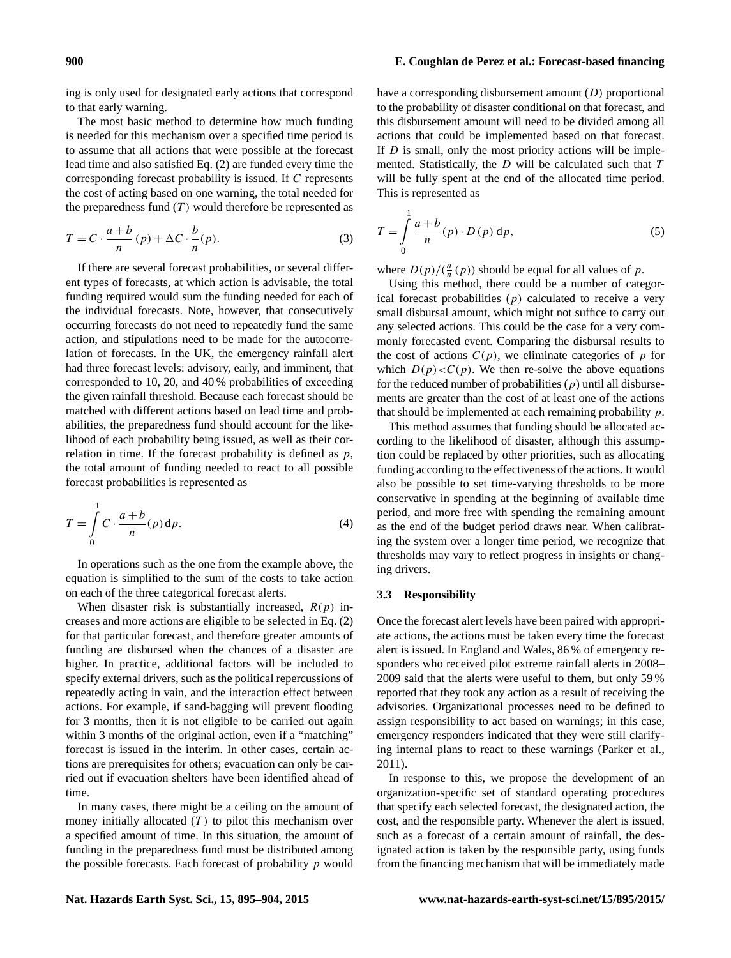ing is only used for designated early actions that correspond to that early warning.

The most basic method to determine how much funding is needed for this mechanism over a specified time period is to assume that all actions that were possible at the forecast lead time and also satisfied Eq. (2) are funded every time the corresponding forecast probability is issued. If C represents the cost of acting based on one warning, the total needed for the preparedness fund  $(T)$  would therefore be represented as

$$
T = C \cdot \frac{a+b}{n}(p) + \Delta C \cdot \frac{b}{n}(p).
$$
 (3)

If there are several forecast probabilities, or several different types of forecasts, at which action is advisable, the total funding required would sum the funding needed for each of the individual forecasts. Note, however, that consecutively occurring forecasts do not need to repeatedly fund the same action, and stipulations need to be made for the autocorrelation of forecasts. In the UK, the emergency rainfall alert had three forecast levels: advisory, early, and imminent, that corresponded to 10, 20, and 40 % probabilities of exceeding the given rainfall threshold. Because each forecast should be matched with different actions based on lead time and probabilities, the preparedness fund should account for the likelihood of each probability being issued, as well as their correlation in time. If the forecast probability is defined as  $p$ , the total amount of funding needed to react to all possible forecast probabilities is represented as

$$
T = \int_{0}^{1} C \cdot \frac{a+b}{n}(p) \, \mathrm{d}p. \tag{4}
$$

In operations such as the one from the example above, the equation is simplified to the sum of the costs to take action on each of the three categorical forecast alerts.

When disaster risk is substantially increased,  $R(p)$  increases and more actions are eligible to be selected in Eq. (2) for that particular forecast, and therefore greater amounts of funding are disbursed when the chances of a disaster are higher. In practice, additional factors will be included to specify external drivers, such as the political repercussions of repeatedly acting in vain, and the interaction effect between actions. For example, if sand-bagging will prevent flooding for 3 months, then it is not eligible to be carried out again within 3 months of the original action, even if a "matching" forecast is issued in the interim. In other cases, certain actions are prerequisites for others; evacuation can only be carried out if evacuation shelters have been identified ahead of time.

In many cases, there might be a ceiling on the amount of money initially allocated  $(T)$  to pilot this mechanism over a specified amount of time. In this situation, the amount of funding in the preparedness fund must be distributed among the possible forecasts. Each forecast of probability  $p$  would

have a corresponding disbursement amount  $(D)$  proportional to the probability of disaster conditional on that forecast, and this disbursement amount will need to be divided among all actions that could be implemented based on that forecast. If  $D$  is small, only the most priority actions will be implemented. Statistically, the  $D$  will be calculated such that  $T$ will be fully spent at the end of the allocated time period. This is represented as

$$
T = \int_{0}^{1} \frac{a+b}{n} (p) \cdot D(p) \, \mathrm{d}p,\tag{5}
$$

where  $D(p)/(\frac{a}{n}(p))$  should be equal for all values of p.

Using this method, there could be a number of categorical forecast probabilities  $(p)$  calculated to receive a very small disbursal amount, which might not suffice to carry out any selected actions. This could be the case for a very commonly forecasted event. Comparing the disbursal results to the cost of actions  $C(p)$ , we eliminate categories of p for which  $D(p) < C(p)$ . We then re-solve the above equations for the reduced number of probabilities  $(p)$  until all disbursements are greater than the cost of at least one of the actions that should be implemented at each remaining probability  $p$ .

This method assumes that funding should be allocated according to the likelihood of disaster, although this assumption could be replaced by other priorities, such as allocating funding according to the effectiveness of the actions. It would also be possible to set time-varying thresholds to be more conservative in spending at the beginning of available time period, and more free with spending the remaining amount as the end of the budget period draws near. When calibrating the system over a longer time period, we recognize that thresholds may vary to reflect progress in insights or changing drivers.

#### **3.3 Responsibility**

Once the forecast alert levels have been paired with appropriate actions, the actions must be taken every time the forecast alert is issued. In England and Wales, 86 % of emergency responders who received pilot extreme rainfall alerts in 2008– 2009 said that the alerts were useful to them, but only 59 % reported that they took any action as a result of receiving the advisories. Organizational processes need to be defined to assign responsibility to act based on warnings; in this case, emergency responders indicated that they were still clarifying internal plans to react to these warnings (Parker et al., 2011).

In response to this, we propose the development of an organization-specific set of standard operating procedures that specify each selected forecast, the designated action, the cost, and the responsible party. Whenever the alert is issued, such as a forecast of a certain amount of rainfall, the designated action is taken by the responsible party, using funds from the financing mechanism that will be immediately made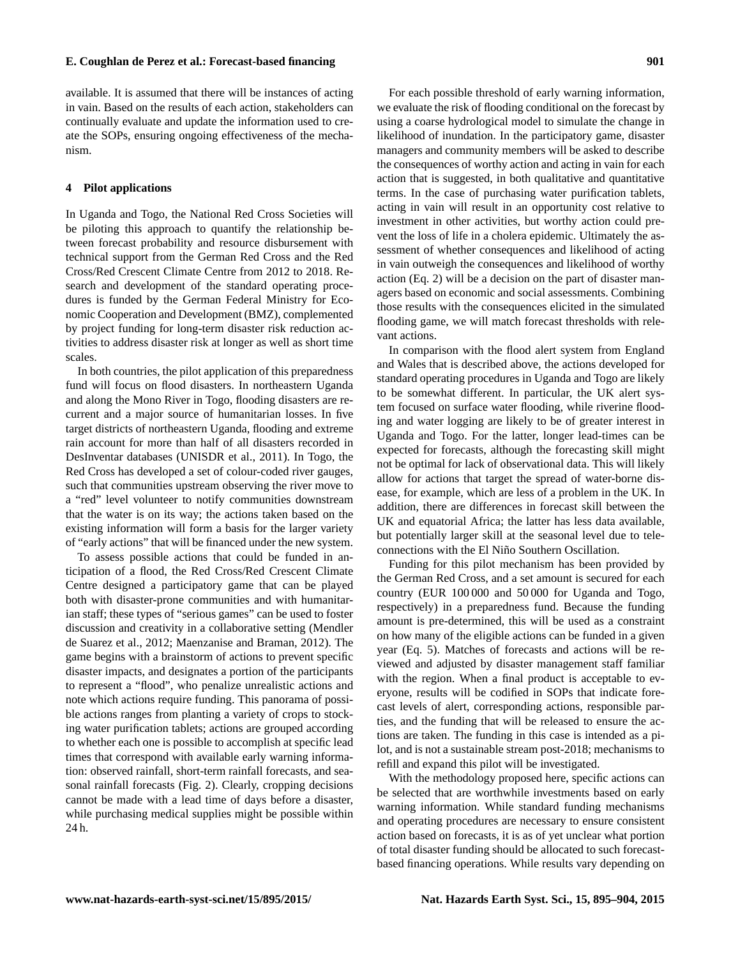available. It is assumed that there will be instances of acting in vain. Based on the results of each action, stakeholders can continually evaluate and update the information used to create the SOPs, ensuring ongoing effectiveness of the mechanism.

## **4 Pilot applications**

In Uganda and Togo, the National Red Cross Societies will be piloting this approach to quantify the relationship between forecast probability and resource disbursement with technical support from the German Red Cross and the Red Cross/Red Crescent Climate Centre from 2012 to 2018. Research and development of the standard operating procedures is funded by the German Federal Ministry for Economic Cooperation and Development (BMZ), complemented by project funding for long-term disaster risk reduction activities to address disaster risk at longer as well as short time scales.

In both countries, the pilot application of this preparedness fund will focus on flood disasters. In northeastern Uganda and along the Mono River in Togo, flooding disasters are recurrent and a major source of humanitarian losses. In five target districts of northeastern Uganda, flooding and extreme rain account for more than half of all disasters recorded in DesInventar databases (UNISDR et al., 2011). In Togo, the Red Cross has developed a set of colour-coded river gauges, such that communities upstream observing the river move to a "red" level volunteer to notify communities downstream that the water is on its way; the actions taken based on the existing information will form a basis for the larger variety of "early actions" that will be financed under the new system.

To assess possible actions that could be funded in anticipation of a flood, the Red Cross/Red Crescent Climate Centre designed a participatory game that can be played both with disaster-prone communities and with humanitarian staff; these types of "serious games" can be used to foster discussion and creativity in a collaborative setting (Mendler de Suarez et al., 2012; Maenzanise and Braman, 2012). The game begins with a brainstorm of actions to prevent specific disaster impacts, and designates a portion of the participants to represent a "flood", who penalize unrealistic actions and note which actions require funding. This panorama of possible actions ranges from planting a variety of crops to stocking water purification tablets; actions are grouped according to whether each one is possible to accomplish at specific lead times that correspond with available early warning information: observed rainfall, short-term rainfall forecasts, and seasonal rainfall forecasts (Fig. 2). Clearly, cropping decisions cannot be made with a lead time of days before a disaster, while purchasing medical supplies might be possible within 24 h.

For each possible threshold of early warning information, we evaluate the risk of flooding conditional on the forecast by using a coarse hydrological model to simulate the change in likelihood of inundation. In the participatory game, disaster managers and community members will be asked to describe the consequences of worthy action and acting in vain for each action that is suggested, in both qualitative and quantitative terms. In the case of purchasing water purification tablets, acting in vain will result in an opportunity cost relative to investment in other activities, but worthy action could prevent the loss of life in a cholera epidemic. Ultimately the assessment of whether consequences and likelihood of acting in vain outweigh the consequences and likelihood of worthy action (Eq. 2) will be a decision on the part of disaster managers based on economic and social assessments. Combining those results with the consequences elicited in the simulated flooding game, we will match forecast thresholds with relevant actions.

In comparison with the flood alert system from England and Wales that is described above, the actions developed for standard operating procedures in Uganda and Togo are likely to be somewhat different. In particular, the UK alert system focused on surface water flooding, while riverine flooding and water logging are likely to be of greater interest in Uganda and Togo. For the latter, longer lead-times can be expected for forecasts, although the forecasting skill might not be optimal for lack of observational data. This will likely allow for actions that target the spread of water-borne disease, for example, which are less of a problem in the UK. In addition, there are differences in forecast skill between the UK and equatorial Africa; the latter has less data available, but potentially larger skill at the seasonal level due to teleconnections with the El Niño Southern Oscillation.

Funding for this pilot mechanism has been provided by the German Red Cross, and a set amount is secured for each country (EUR 100 000 and 50 000 for Uganda and Togo, respectively) in a preparedness fund. Because the funding amount is pre-determined, this will be used as a constraint on how many of the eligible actions can be funded in a given year (Eq. 5). Matches of forecasts and actions will be reviewed and adjusted by disaster management staff familiar with the region. When a final product is acceptable to everyone, results will be codified in SOPs that indicate forecast levels of alert, corresponding actions, responsible parties, and the funding that will be released to ensure the actions are taken. The funding in this case is intended as a pilot, and is not a sustainable stream post-2018; mechanisms to refill and expand this pilot will be investigated.

With the methodology proposed here, specific actions can be selected that are worthwhile investments based on early warning information. While standard funding mechanisms and operating procedures are necessary to ensure consistent action based on forecasts, it is as of yet unclear what portion of total disaster funding should be allocated to such forecastbased financing operations. While results vary depending on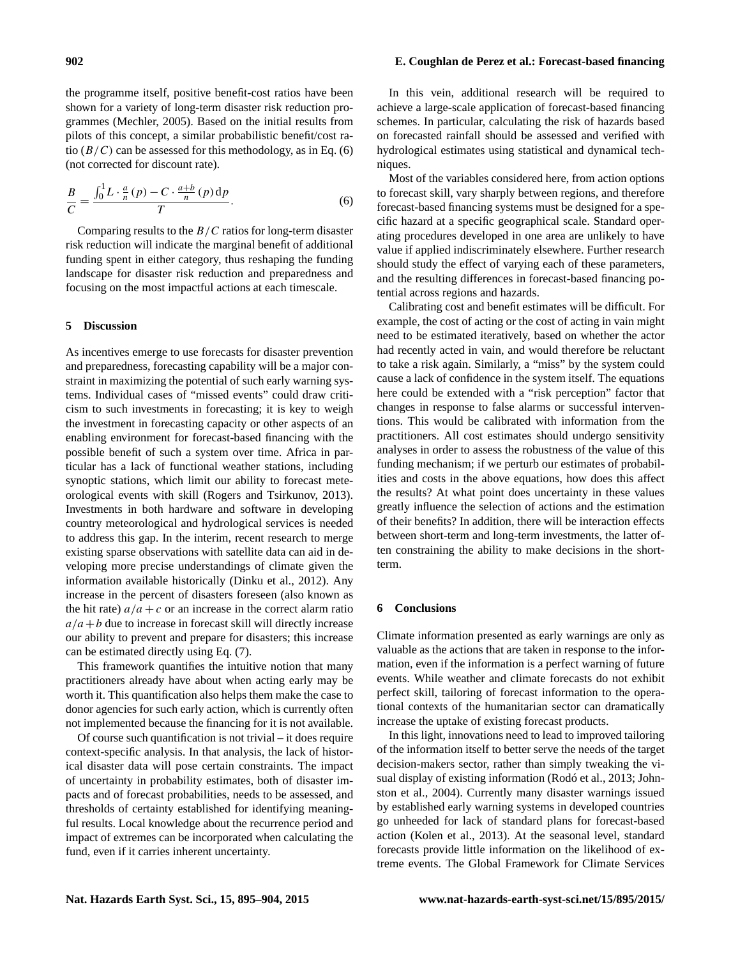the programme itself, positive benefit-cost ratios have been shown for a variety of long-term disaster risk reduction programmes (Mechler, 2005). Based on the initial results from pilots of this concept, a similar probabilistic benefit/cost ratio  $(B/C)$  can be assessed for this methodology, as in Eq. (6) (not corrected for discount rate).

$$
\frac{B}{C} = \frac{\int_0^1 L \cdot \frac{a}{n} (p) - C \cdot \frac{a+b}{n} (p) \, dp}{T}.
$$
\n<sup>(6)</sup>

Comparing results to the  $B/C$  ratios for long-term disaster risk reduction will indicate the marginal benefit of additional funding spent in either category, thus reshaping the funding landscape for disaster risk reduction and preparedness and focusing on the most impactful actions at each timescale.

### **5 Discussion**

As incentives emerge to use forecasts for disaster prevention and preparedness, forecasting capability will be a major constraint in maximizing the potential of such early warning systems. Individual cases of "missed events" could draw criticism to such investments in forecasting; it is key to weigh the investment in forecasting capacity or other aspects of an enabling environment for forecast-based financing with the possible benefit of such a system over time. Africa in particular has a lack of functional weather stations, including synoptic stations, which limit our ability to forecast meteorological events with skill (Rogers and Tsirkunov, 2013). Investments in both hardware and software in developing country meteorological and hydrological services is needed to address this gap. In the interim, recent research to merge existing sparse observations with satellite data can aid in developing more precise understandings of climate given the information available historically (Dinku et al., 2012). Any increase in the percent of disasters foreseen (also known as the hit rate)  $a/a + c$  or an increase in the correct alarm ratio  $a/a + b$  due to increase in forecast skill will directly increase our ability to prevent and prepare for disasters; this increase can be estimated directly using Eq. (7).

This framework quantifies the intuitive notion that many practitioners already have about when acting early may be worth it. This quantification also helps them make the case to donor agencies for such early action, which is currently often not implemented because the financing for it is not available.

Of course such quantification is not trivial – it does require context-specific analysis. In that analysis, the lack of historical disaster data will pose certain constraints. The impact of uncertainty in probability estimates, both of disaster impacts and of forecast probabilities, needs to be assessed, and thresholds of certainty established for identifying meaningful results. Local knowledge about the recurrence period and impact of extremes can be incorporated when calculating the fund, even if it carries inherent uncertainty.

In this vein, additional research will be required to achieve a large-scale application of forecast-based financing schemes. In particular, calculating the risk of hazards based on forecasted rainfall should be assessed and verified with hydrological estimates using statistical and dynamical techniques.

Most of the variables considered here, from action options to forecast skill, vary sharply between regions, and therefore forecast-based financing systems must be designed for a specific hazard at a specific geographical scale. Standard operating procedures developed in one area are unlikely to have value if applied indiscriminately elsewhere. Further research should study the effect of varying each of these parameters, and the resulting differences in forecast-based financing potential across regions and hazards.

Calibrating cost and benefit estimates will be difficult. For example, the cost of acting or the cost of acting in vain might need to be estimated iteratively, based on whether the actor had recently acted in vain, and would therefore be reluctant to take a risk again. Similarly, a "miss" by the system could cause a lack of confidence in the system itself. The equations here could be extended with a "risk perception" factor that changes in response to false alarms or successful interventions. This would be calibrated with information from the practitioners. All cost estimates should undergo sensitivity analyses in order to assess the robustness of the value of this funding mechanism; if we perturb our estimates of probabilities and costs in the above equations, how does this affect the results? At what point does uncertainty in these values greatly influence the selection of actions and the estimation of their benefits? In addition, there will be interaction effects between short-term and long-term investments, the latter often constraining the ability to make decisions in the shortterm.

## **6 Conclusions**

Climate information presented as early warnings are only as valuable as the actions that are taken in response to the information, even if the information is a perfect warning of future events. While weather and climate forecasts do not exhibit perfect skill, tailoring of forecast information to the operational contexts of the humanitarian sector can dramatically increase the uptake of existing forecast products.

In this light, innovations need to lead to improved tailoring of the information itself to better serve the needs of the target decision-makers sector, rather than simply tweaking the visual display of existing information (Rodó et al., 2013; Johnston et al., 2004). Currently many disaster warnings issued by established early warning systems in developed countries go unheeded for lack of standard plans for forecast-based action (Kolen et al., 2013). At the seasonal level, standard forecasts provide little information on the likelihood of extreme events. The Global Framework for Climate Services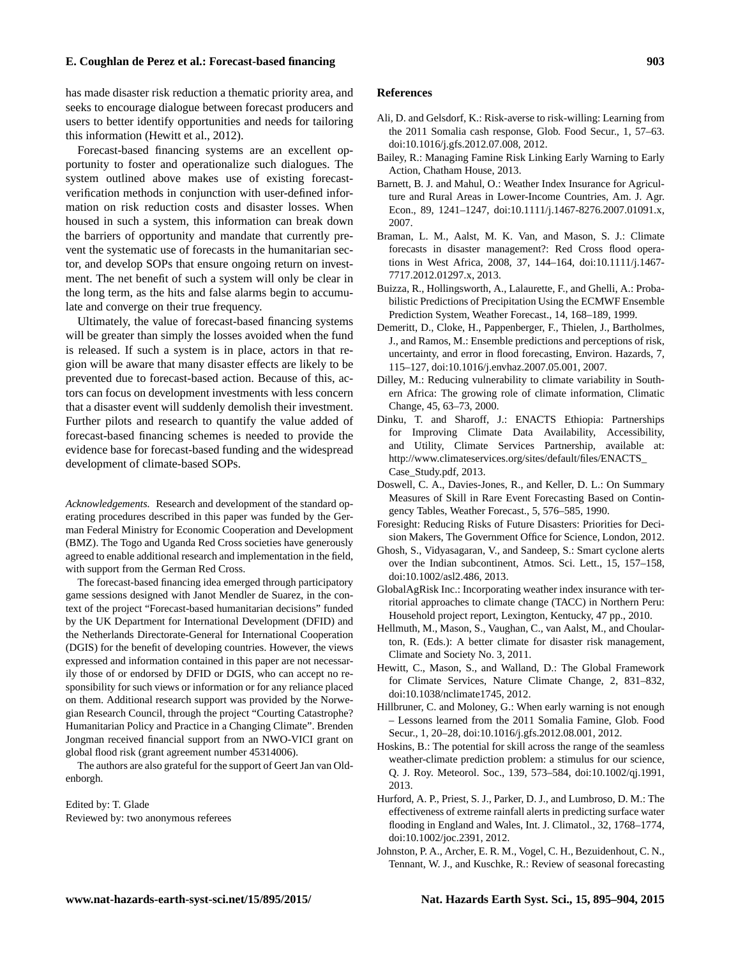has made disaster risk reduction a thematic priority area, and seeks to encourage dialogue between forecast producers and users to better identify opportunities and needs for tailoring this information (Hewitt et al., 2012).

Forecast-based financing systems are an excellent opportunity to foster and operationalize such dialogues. The system outlined above makes use of existing forecastverification methods in conjunction with user-defined information on risk reduction costs and disaster losses. When housed in such a system, this information can break down the barriers of opportunity and mandate that currently prevent the systematic use of forecasts in the humanitarian sector, and develop SOPs that ensure ongoing return on investment. The net benefit of such a system will only be clear in the long term, as the hits and false alarms begin to accumulate and converge on their true frequency.

Ultimately, the value of forecast-based financing systems will be greater than simply the losses avoided when the fund is released. If such a system is in place, actors in that region will be aware that many disaster effects are likely to be prevented due to forecast-based action. Because of this, actors can focus on development investments with less concern that a disaster event will suddenly demolish their investment. Further pilots and research to quantify the value added of forecast-based financing schemes is needed to provide the evidence base for forecast-based funding and the widespread development of climate-based SOPs.

*Acknowledgements.* Research and development of the standard operating procedures described in this paper was funded by the German Federal Ministry for Economic Cooperation and Development (BMZ). The Togo and Uganda Red Cross societies have generously agreed to enable additional research and implementation in the field, with support from the German Red Cross.

The forecast-based financing idea emerged through participatory game sessions designed with Janot Mendler de Suarez, in the context of the project "Forecast-based humanitarian decisions" funded by the UK Department for International Development (DFID) and the Netherlands Directorate-General for International Cooperation (DGIS) for the benefit of developing countries. However, the views expressed and information contained in this paper are not necessarily those of or endorsed by DFID or DGIS, who can accept no responsibility for such views or information or for any reliance placed on them. Additional research support was provided by the Norwegian Research Council, through the project "Courting Catastrophe? Humanitarian Policy and Practice in a Changing Climate". Brenden Jongman received financial support from an NWO-VICI grant on global flood risk (grant agreement number 45314006).

The authors are also grateful for the support of Geert Jan van Oldenborgh.

Edited by: T. Glade Reviewed by: two anonymous referees

#### **References**

- Ali, D. and Gelsdorf, K.: Risk-averse to risk-willing: Learning from the 2011 Somalia cash response, Glob. Food Secur., 1, 57–63. doi[:10.1016/j.gfs.2012.07.008,](http://dx.doi.org/10.1016/j.gfs.2012.07.008) 2012.
- Bailey, R.: Managing Famine Risk Linking Early Warning to Early Action, Chatham House, 2013.
- Barnett, B. J. and Mahul, O.: Weather Index Insurance for Agriculture and Rural Areas in Lower-Income Countries, Am. J. Agr. Econ., 89, 1241–1247, doi[:10.1111/j.1467-8276.2007.01091.x,](http://dx.doi.org/10.1111/j.1467-8276.2007.01091.x) 2007.
- Braman, L. M., Aalst, M. K. Van, and Mason, S. J.: Climate forecasts in disaster management?: Red Cross flood operations in West Africa, 2008, 37, 144–164, doi[:10.1111/j.1467-](http://dx.doi.org/10.1111/j.1467-7717.2012.01297.x) [7717.2012.01297.x,](http://dx.doi.org/10.1111/j.1467-7717.2012.01297.x) 2013.
- Buizza, R., Hollingsworth, A., Lalaurette, F., and Ghelli, A.: Probabilistic Predictions of Precipitation Using the ECMWF Ensemble Prediction System, Weather Forecast., 14, 168–189, 1999.
- Demeritt, D., Cloke, H., Pappenberger, F., Thielen, J., Bartholmes, J., and Ramos, M.: Ensemble predictions and perceptions of risk, uncertainty, and error in flood forecasting, Environ. Hazards, 7, 115–127, doi[:10.1016/j.envhaz.2007.05.001,](http://dx.doi.org/10.1016/j.envhaz.2007.05.001) 2007.
- Dilley, M.: Reducing vulnerability to climate variability in Southern Africa: The growing role of climate information, Climatic Change, 45, 63–73, 2000.
- Dinku, T. and Sharoff, J.: ENACTS Ethiopia: Partnerships for Improving Climate Data Availability, Accessibility, and Utility, Climate Services Partnership, available at: [http://www.climateservices.org/sites/default/files/ENACTS\\_](http://www.climateservices.org/sites/default/files/ENACTS_Case_Study.pdf) [Case\\_Study.pdf,](http://www.climateservices.org/sites/default/files/ENACTS_Case_Study.pdf) 2013.
- Doswell, C. A., Davies-Jones, R., and Keller, D. L.: On Summary Measures of Skill in Rare Event Forecasting Based on Contingency Tables, Weather Forecast., 5, 576–585, 1990.
- Foresight: Reducing Risks of Future Disasters: Priorities for Decision Makers, The Government Office for Science, London, 2012.
- Ghosh, S., Vidyasagaran, V., and Sandeep, S.: Smart cyclone alerts over the Indian subcontinent, Atmos. Sci. Lett., 15, 157–158, doi[:10.1002/asl2.486,](http://dx.doi.org/10.1002/asl2.486) 2013.
- GlobalAgRisk Inc.: Incorporating weather index insurance with territorial approaches to climate change (TACC) in Northern Peru: Household project report, Lexington, Kentucky, 47 pp., 2010.
- Hellmuth, M., Mason, S., Vaughan, C., van Aalst, M., and Choularton, R. (Eds.): A better climate for disaster risk management, Climate and Society No. 3, 2011.
- Hewitt, C., Mason, S., and Walland, D.: The Global Framework for Climate Services, Nature Climate Change, 2, 831–832, doi[:10.1038/nclimate1745,](http://dx.doi.org/10.1038/nclimate1745) 2012.
- Hillbruner, C. and Moloney, G.: When early warning is not enough – Lessons learned from the 2011 Somalia Famine, Glob. Food Secur., 1, 20–28, doi[:10.1016/j.gfs.2012.08.001,](http://dx.doi.org/10.1016/j.gfs.2012.08.001) 2012.
- Hoskins, B.: The potential for skill across the range of the seamless weather-climate prediction problem: a stimulus for our science, Q. J. Roy. Meteorol. Soc., 139, 573–584, doi[:10.1002/qj.1991,](http://dx.doi.org/10.1002/qj.1991) 2013.
- Hurford, A. P., Priest, S. J., Parker, D. J., and Lumbroso, D. M.: The effectiveness of extreme rainfall alerts in predicting surface water flooding in England and Wales, Int. J. Climatol., 32, 1768–1774, doi[:10.1002/joc.2391,](http://dx.doi.org/10.1002/joc.2391) 2012.
- Johnston, P. A., Archer, E. R. M., Vogel, C. H., Bezuidenhout, C. N., Tennant, W. J., and Kuschke, R.: Review of seasonal forecasting